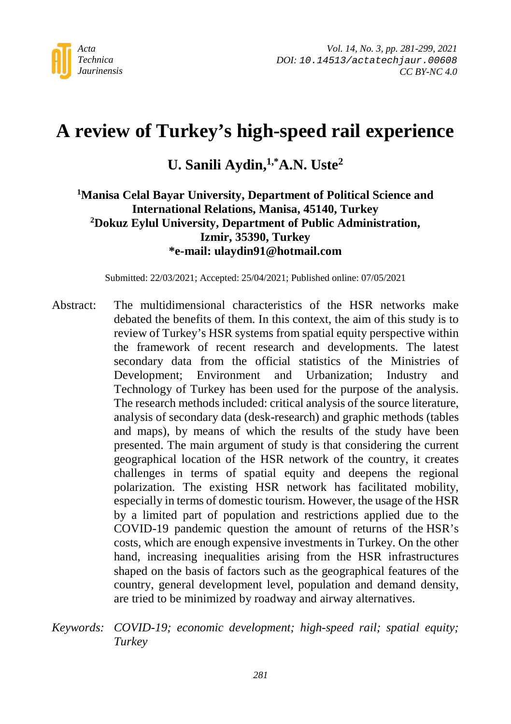

# **A review of Turkey's high-speed rail experience**

# **U. Sanili Aydin,1,\*A.N. Uste2**

#### **1 Manisa Celal Bayar University, Department of Political Science and International Relations, Manisa, 45140, Turkey 2 Dokuz Eylul University, Department of Public Administration, Izmir, 35390, Turkey \*e-mail: ulaydin91@hotmail.com**

Submitted: 22/03/2021; Accepted: 25/04/2021; Published online: 07/05/2021

- Abstract: The multidimensional characteristics of the HSR networks make debated the benefits of them. In this context, the aim of this study is to review of Turkey's HSR systems from spatial equity perspective within the framework of recent research and developments. The latest secondary data from the official statistics of the Ministries of Development; Environment and Urbanization; Industry and Technology of Turkey has been used for the purpose of the analysis. The research methods included: critical analysis of the source literature, analysis of secondary data (desk-research) and graphic methods (tables and maps), by means of which the results of the study have been presented. The main argument of study is that considering the current geographical location of the HSR network of the country, it creates challenges in terms of spatial equity and deepens the regional polarization. The existing HSR network has facilitated mobility, especially in terms of domestic tourism. However, the usage of the HSR by a limited part of population and restrictions applied due to the COVID-19 pandemic question the amount of returns of the HSR's costs, which are enough expensive investments in Turkey. On the other hand, increasing inequalities arising from the HSR infrastructures shaped on the basis of factors such as the geographical features of the country, general development level, population and demand density, are tried to be minimized by roadway and airway alternatives.
- *Keywords: COVID-19; economic development; high-speed rail; spatial equity; Turkey*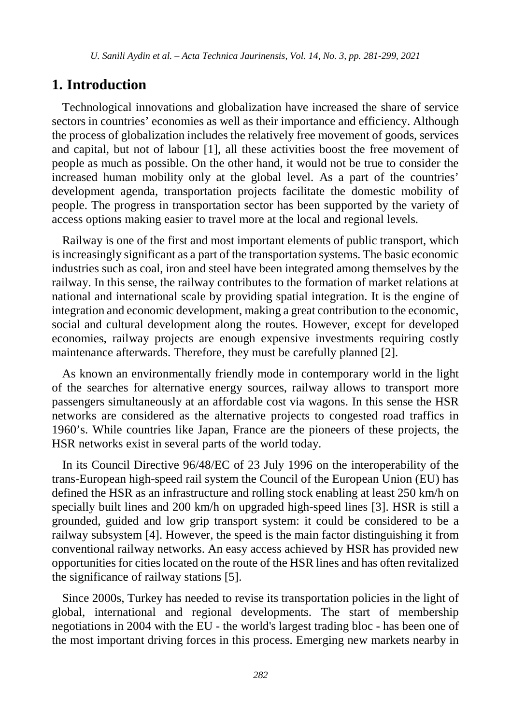#### **1. Introduction**

Technological innovations and globalization have increased the share of service sectors in countries' economies as well as their importance and efficiency. Although the process of globalization includes the relatively free movement of goods, services and capital, but not of labour [1], all these activities boost the free movement of people as much as possible. On the other hand, it would not be true to consider the increased human mobility only at the global level. As a part of the countries' development agenda, transportation projects facilitate the domestic mobility of people. The progress in transportation sector has been supported by the variety of access options making easier to travel more at the local and regional levels.

Railway is one of the first and most important elements of public transport, which is increasingly significant as a part of the transportation systems. The basic economic industries such as coal, iron and steel have been integrated among themselves by the railway. In this sense, the railway contributes to the formation of market relations at national and international scale by providing spatial integration. It is the engine of integration and economic development, making a great contribution to the economic, social and cultural development along the routes. However, except for developed economies, railway projects are enough expensive investments requiring costly maintenance afterwards. Therefore, they must be carefully planned [2].

As known an environmentally friendly mode in contemporary world in the light of the searches for alternative energy sources, railway allows to transport more passengers simultaneously at an affordable cost via wagons. In this sense the HSR networks are considered as the alternative projects to congested road traffics in 1960's. While countries like Japan, France are the pioneers of these projects, the HSR networks exist in several parts of the world today.

In its Council Directive 96/48/EC of 23 July 1996 on the interoperability of the trans-European high-speed rail system the Council of the European Union (EU) has defined the HSR as an infrastructure and rolling stock enabling at least 250 km/h on specially built lines and 200 km/h on upgraded high-speed lines [3]. HSR is still a grounded, guided and low grip transport system: it could be considered to be a railway subsystem [4]. However, the speed is the main factor distinguishing it from conventional railway networks. An easy access achieved by HSR has provided new opportunities for cities located on the route of the HSR lines and has often revitalized the significance of railway stations [5].

Since 2000s, Turkey has needed to revise its transportation policies in the light of global, international and regional developments. The start of membership negotiations in 2004 with the EU - the world's largest trading bloc - has been one of the most important driving forces in this process. Emerging new markets nearby in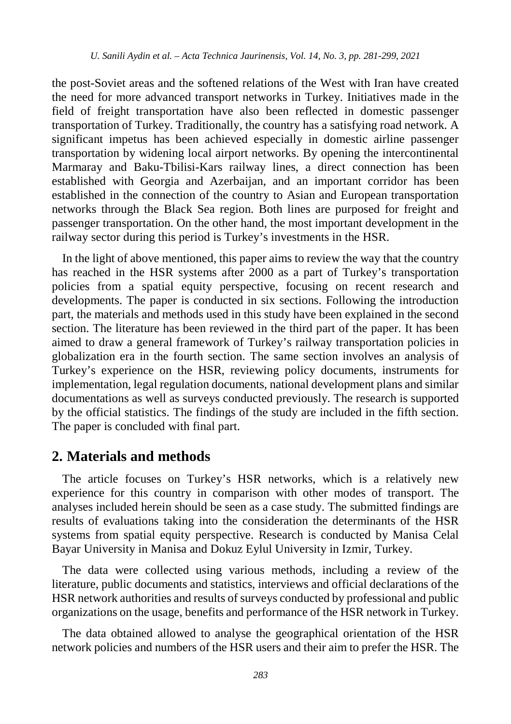the post-Soviet areas and the softened relations of the West with Iran have created the need for more advanced transport networks in Turkey. Initiatives made in the field of freight transportation have also been reflected in domestic passenger transportation of Turkey. Traditionally, the country has a satisfying road network. A significant impetus has been achieved especially in domestic airline passenger transportation by widening local airport networks. By opening the intercontinental Marmaray and Baku-Tbilisi-Kars railway lines, a direct connection has been established with Georgia and Azerbaijan, and an important corridor has been established in the connection of the country to Asian and European transportation networks through the Black Sea region. Both lines are purposed for freight and passenger transportation. On the other hand, the most important development in the railway sector during this period is Turkey's investments in the HSR.

In the light of above mentioned, this paper aims to review the way that the country has reached in the HSR systems after 2000 as a part of Turkey's transportation policies from a spatial equity perspective, focusing on recent research and developments. The paper is conducted in six sections. Following the introduction part, the materials and methods used in this study have been explained in the second section. The literature has been reviewed in the third part of the paper. It has been aimed to draw a general framework of Turkey's railway transportation policies in globalization era in the fourth section. The same section involves an analysis of Turkey's experience on the HSR, reviewing policy documents, instruments for implementation, legal regulation documents, national development plans and similar documentations as well as surveys conducted previously. The research is supported by the official statistics. The findings of the study are included in the fifth section. The paper is concluded with final part.

#### **2. Materials and methods**

The article focuses on Turkey's HSR networks, which is a relatively new experience for this country in comparison with other modes of transport. The analyses included herein should be seen as a case study. The submitted findings are results of evaluations taking into the consideration the determinants of the HSR systems from spatial equity perspective. Research is conducted by Manisa Celal Bayar University in Manisa and Dokuz Eylul University in Izmir, Turkey.

The data were collected using various methods, including a review of the literature, public documents and statistics, interviews and official declarations of the HSR network authorities and results of surveys conducted by professional and public organizations on the usage, benefits and performance of the HSR network in Turkey.

The data obtained allowed to analyse the geographical orientation of the HSR network policies and numbers of the HSR users and their aim to prefer the HSR. The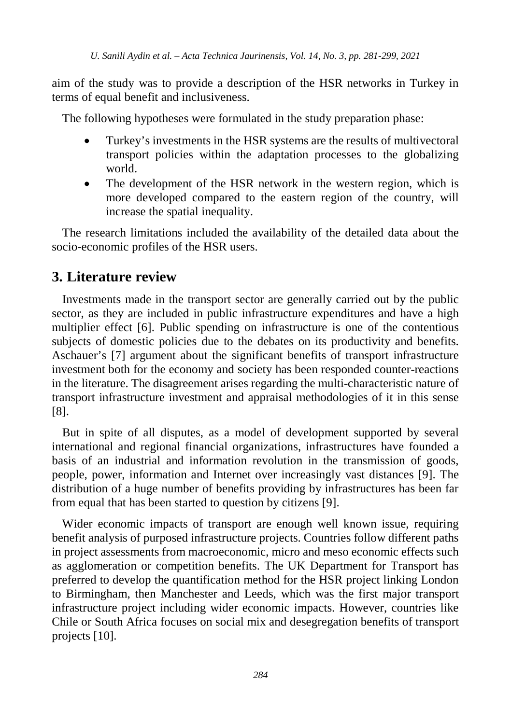aim of the study was to provide a description of the HSR networks in Turkey in terms of equal benefit and inclusiveness.

The following hypotheses were formulated in the study preparation phase:

- Turkey's investments in the HSR systems are the results of multivectoral transport policies within the adaptation processes to the globalizing world.
- The development of the HSR network in the western region, which is more developed compared to the eastern region of the country, will increase the spatial inequality.

The research limitations included the availability of the detailed data about the socio-economic profiles of the HSR users.

## **3. Literature review**

Investments made in the transport sector are generally carried out by the public sector, as they are included in public infrastructure expenditures and have a high multiplier effect [6]. Public spending on infrastructure is one of the contentious subjects of domestic policies due to the debates on its productivity and benefits. Aschauer's [7] argument about the significant benefits of transport infrastructure investment both for the economy and society has been responded counter-reactions in the literature. The disagreement arises regarding the multi-characteristic nature of transport infrastructure investment and appraisal methodologies of it in this sense [8].

But in spite of all disputes, as a model of development supported by several international and regional financial organizations, infrastructures have founded a basis of an industrial and information revolution in the transmission of goods, people, power, information and Internet over increasingly vast distances [9]. The distribution of a huge number of benefits providing by infrastructures has been far from equal that has been started to question by citizens [9].

Wider economic impacts of transport are enough well known issue, requiring benefit analysis of purposed infrastructure projects. Countries follow different paths in project assessments from macroeconomic, micro and meso economic effects such as agglomeration or competition benefits. The UK Department for Transport has preferred to develop the quantification method for the HSR project linking London to Birmingham, then Manchester and Leeds, which was the first major transport infrastructure project including wider economic impacts. However, countries like Chile or South Africa focuses on social mix and desegregation benefits of transport projects [10].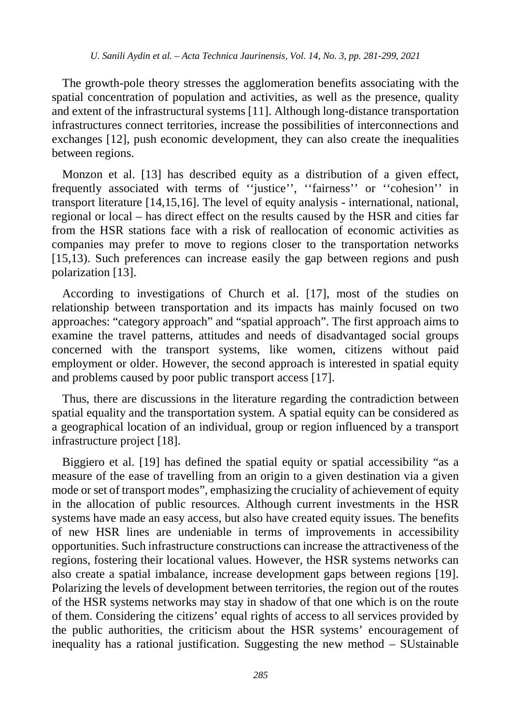The growth-pole theory stresses the agglomeration benefits associating with the spatial concentration of population and activities, as well as the presence, quality and extent of the infrastructural systems [11]. Although long-distance transportation infrastructures connect territories, increase the possibilities of interconnections and exchanges [12], push economic development, they can also create the inequalities between regions.

Monzon et al. [13] has described equity as a distribution of a given effect, frequently associated with terms of ''justice'', ''fairness'' or ''cohesion'' in transport literature [14,15,16]. The level of equity analysis - international, national, regional or local – has direct effect on the results caused by the HSR and cities far from the HSR stations face with a risk of reallocation of economic activities as companies may prefer to move to regions closer to the transportation networks [15,13). Such preferences can increase easily the gap between regions and push polarization [13].

According to investigations of Church et al. [17], most of the studies on relationship between transportation and its impacts has mainly focused on two approaches: "category approach" and "spatial approach". The first approach aims to examine the travel patterns, attitudes and needs of disadvantaged social groups concerned with the transport systems, like women, citizens without paid employment or older. However, the second approach is interested in spatial equity and problems caused by poor public transport access [17].

Thus, there are discussions in the literature regarding the contradiction between spatial equality and the transportation system. A spatial equity can be considered as a geographical location of an individual, group or region influenced by a transport infrastructure project [18].

Biggiero et al. [19] has defined the spatial equity or spatial accessibility "as a measure of the ease of travelling from an origin to a given destination via a given mode or set of transport modes", emphasizing the cruciality of achievement of equity in the allocation of public resources. Although current investments in the HSR systems have made an easy access, but also have created equity issues. The benefits of new HSR lines are undeniable in terms of improvements in accessibility opportunities. Such infrastructure constructions can increase the attractiveness of the regions, fostering their locational values. However, the HSR systems networks can also create a spatial imbalance, increase development gaps between regions [19]. Polarizing the levels of development between territories, the region out of the routes of the HSR systems networks may stay in shadow of that one which is on the route of them. Considering the citizens' equal rights of access to all services provided by the public authorities, the criticism about the HSR systems' encouragement of inequality has a rational justification. Suggesting the new method – SUstainable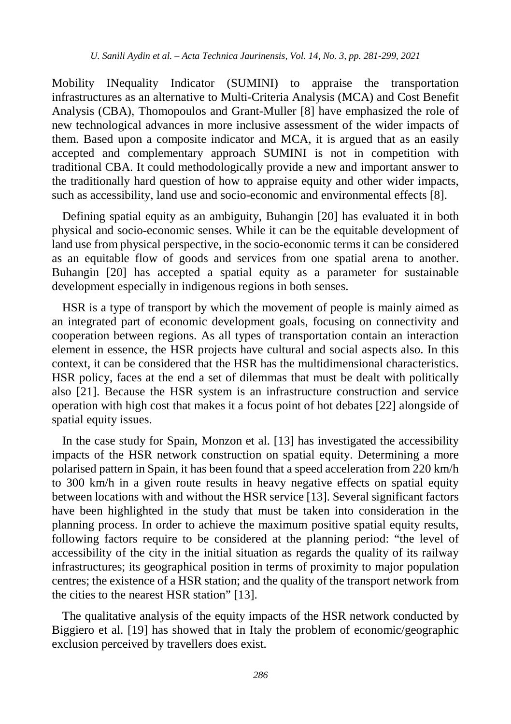Mobility INequality Indicator (SUMINI) to appraise the transportation infrastructures as an alternative to Multi-Criteria Analysis (MCA) and Cost Benefit Analysis (CBA), Thomopoulos and Grant-Muller [8] have emphasized the role of new technological advances in more inclusive assessment of the wider impacts of them. Based upon a composite indicator and MCA, it is argued that as an easily accepted and complementary approach SUMINI is not in competition with traditional CBA. It could methodologically provide a new and important answer to the traditionally hard question of how to appraise equity and other wider impacts, such as accessibility, land use and socio-economic and environmental effects [8].

Defining spatial equity as an ambiguity, Buhangin [20] has evaluated it in both physical and socio-economic senses. While it can be the equitable development of land use from physical perspective, in the socio-economic terms it can be considered as an equitable flow of goods and services from one spatial arena to another. Buhangin [20] has accepted a spatial equity as a parameter for sustainable development especially in indigenous regions in both senses.

HSR is a type of transport by which the movement of people is mainly aimed as an integrated part of economic development goals, focusing on connectivity and cooperation between regions. As all types of transportation contain an interaction element in essence, the HSR projects have cultural and social aspects also. In this context, it can be considered that the HSR has the multidimensional characteristics. HSR policy, faces at the end a set of dilemmas that must be dealt with politically also [21]. Because the HSR system is an infrastructure construction and service operation with high cost that makes it a focus point of hot debates [22] alongside of spatial equity issues.

In the case study for Spain, Monzon et al. [13] has investigated the accessibility impacts of the HSR network construction on spatial equity. Determining a more polarised pattern in Spain, it has been found that a speed acceleration from 220 km/h to 300 km/h in a given route results in heavy negative effects on spatial equity between locations with and without the HSR service [13]. Several significant factors have been highlighted in the study that must be taken into consideration in the planning process. In order to achieve the maximum positive spatial equity results, following factors require to be considered at the planning period: "the level of accessibility of the city in the initial situation as regards the quality of its railway infrastructures; its geographical position in terms of proximity to major population centres; the existence of a HSR station; and the quality of the transport network from the cities to the nearest HSR station" [13].

The qualitative analysis of the equity impacts of the HSR network conducted by Biggiero et al. [19] has showed that in Italy the problem of economic/geographic exclusion perceived by travellers does exist.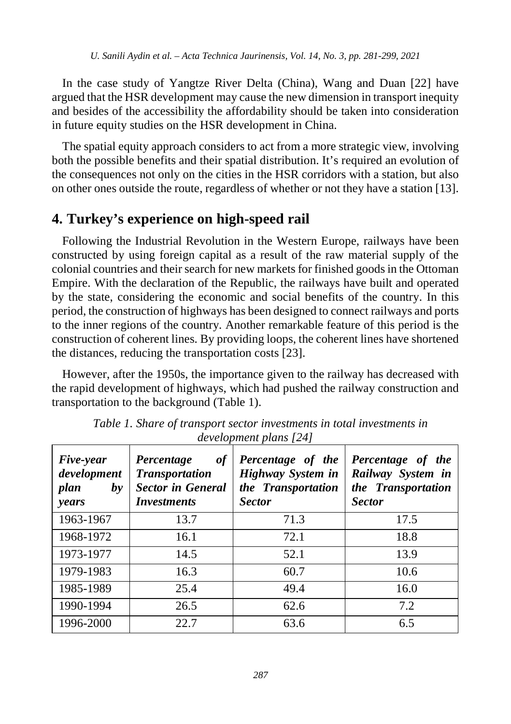In the case study of Yangtze River Delta (China), Wang and Duan [22] have argued that the HSR development may cause the new dimension in transport inequity and besides of the accessibility the affordability should be taken into consideration in future equity studies on the HSR development in China.

The spatial equity approach considers to act from a more strategic view, involving both the possible benefits and their spatial distribution. It's required an evolution of the consequences not only on the cities in the HSR corridors with a station, but also on other ones outside the route, regardless of whether or not they have a station [13].

## **4. Turkey's experience on high-speed rail**

Following the Industrial Revolution in the Western Europe, railways have been constructed by using foreign capital as a result of the raw material supply of the colonial countries and their search for new markets for finished goods in the Ottoman Empire. With the declaration of the Republic, the railways have built and operated by the state, considering the economic and social benefits of the country. In this period, the construction of highways has been designed to connect railways and ports to the inner regions of the country. Another remarkable feature of this period is the construction of coherent lines. By providing loops, the coherent lines have shortened the distances, reducing the transportation costs [23].

However, after the 1950s, the importance given to the railway has decreased with the rapid development of highways, which had pushed the railway construction and transportation to the background (Table 1).

| Five-year<br>development<br>plan<br>by<br>years | of<br>Percentage<br><b>Transportation</b><br><b>Sector in General</b><br><i><b>Investments</b></i> | Percentage of the<br>Highway System in<br>the Transportation<br><b>Sector</b> | Percentage of the<br>Railway System in<br>the Transportation<br><b>Sector</b> |  |  |
|-------------------------------------------------|----------------------------------------------------------------------------------------------------|-------------------------------------------------------------------------------|-------------------------------------------------------------------------------|--|--|
| 1963-1967                                       | 13.7                                                                                               | 71.3                                                                          | 17.5                                                                          |  |  |
| 1968-1972                                       | 16.1                                                                                               | 72.1                                                                          | 18.8                                                                          |  |  |
| 1973-1977                                       | 14.5                                                                                               | 52.1                                                                          | 13.9                                                                          |  |  |
| 1979-1983                                       | 16.3                                                                                               | 60.7                                                                          | 10.6                                                                          |  |  |
| 1985-1989                                       | 25.4                                                                                               | 49.4                                                                          | 16.0                                                                          |  |  |
| 1990-1994                                       | 26.5                                                                                               | 62.6                                                                          | 7.2                                                                           |  |  |
| 1996-2000                                       | 22.7                                                                                               | 63.6                                                                          | 6.5                                                                           |  |  |

*Table 1. Share of transport sector investments in total investments in development plans [24]*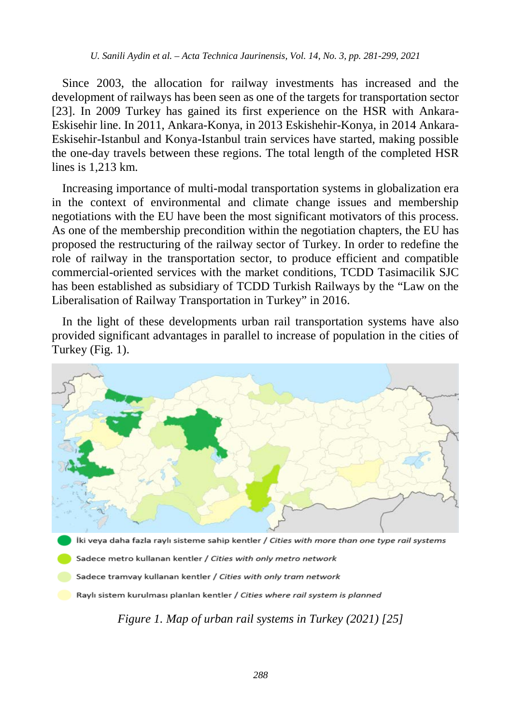Since 2003, the allocation for railway investments has increased and the development of railways has been seen as one of the targets for transportation sector [23]. In 2009 Turkey has gained its first experience on the HSR with Ankara-Eskisehir line. In 2011, Ankara-Konya, in 2013 Eskishehir-Konya, in 2014 Ankara-Eskisehir-Istanbul and Konya-Istanbul train services have started, making possible the one-day travels between these regions. The total length of the completed HSR lines is 1,213 km.

Increasing importance of multi-modal transportation systems in globalization era in the context of environmental and climate change issues and membership negotiations with the EU have been the most significant motivators of this process. As one of the membership precondition within the negotiation chapters, the EU has proposed the restructuring of the railway sector of Turkey. In order to redefine the role of railway in the transportation sector, to produce efficient and compatible commercial-oriented services with the market conditions, TCDD Tasimacilik SJC has been established as subsidiary of TCDD Turkish Railways by the "Law on the Liberalisation of Railway Transportation in Turkey" in 2016.

In the light of these developments urban rail transportation systems have also provided significant advantages in parallel to increase of population in the cities of Turkey (Fig. 1).



İki veya daha fazla raylı sisteme sahip kentler / Cities with more than one type rail systems

Sadece metro kullanan kentler / Cities with only metro network

Sadece tramvay kullanan kentler / Cities with only tram network

Raylı sistem kurulması planlan kentler / Cities where rail system is planned

*Figure 1. Map of urban rail systems in Turkey (2021) [25]*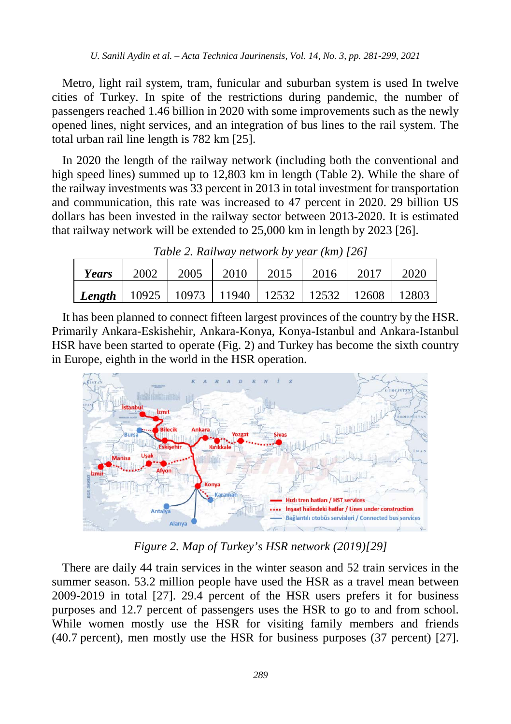Metro, light rail system, tram, funicular and suburban system is used In twelve cities of Turkey. In spite of the restrictions during pandemic, the number of passengers reached 1.46 billion in 2020 with some improvements such as the newly opened lines, night services, and an integration of bus lines to the rail system. The total urban rail line length is 782 km [25].

In 2020 the length of the railway network (including both the conventional and high speed lines) summed up to 12,803 km in length (Table 2). While the share of the railway investments was 33 percent in 2013 in total investment for transportation and communication, this rate was increased to 47 percent in 2020. 29 billion US dollars has been invested in the railway sector between 2013-2020. It is estimated that railway network will be extended to 25,000 km in length by 2023 [26].

| Tuble 2. Kaliway helwork by year (Km) [20]                     |      |        |  |  |                           |  |      |  |  |
|----------------------------------------------------------------|------|--------|--|--|---------------------------|--|------|--|--|
| Years                                                          | 2002 | 2005 l |  |  | 2010   2015   2016   2017 |  | 2020 |  |  |
| Length   10925   10973   11940   12532   12532   12608   12803 |      |        |  |  |                           |  |      |  |  |

*Table 2. Railway network by year (km) [26]*

It has been planned to connect fifteen largest provinces of the country by the HSR. Primarily Ankara-Eskishehir, Ankara-Konya, Konya-Istanbul and Ankara-Istanbul HSR have been started to operate (Fig. 2) and Turkey has become the sixth country in Europe, eighth in the world in the HSR operation.



*Figure 2. Map of Turkey's HSR network (2019)[29]*

There are daily 44 train services in the winter season and 52 train services in the summer season. 53.2 million people have used the HSR as a travel mean between 2009-2019 in total [27]. 29.4 percent of the HSR users prefers it for business purposes and 12.7 percent of passengers uses the HSR to go to and from school. While women mostly use the HSR for visiting family members and friends (40.7 percent), men mostly use the HSR for business purposes (37 percent) [27].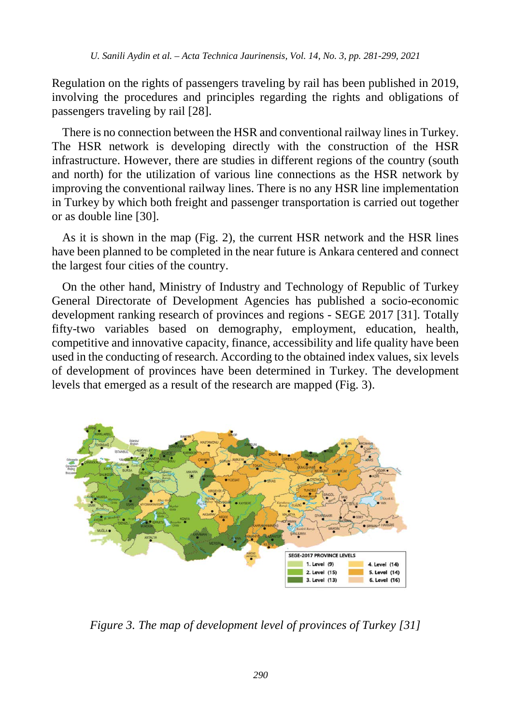Regulation on the rights of passengers traveling by rail has been published in 2019, involving the procedures and principles regarding the rights and obligations of passengers traveling by rail [28].

There is no connection between the HSR and conventional railway lines in Turkey. The HSR network is developing directly with the construction of the HSR infrastructure. However, there are studies in different regions of the country (south and north) for the utilization of various line connections as the HSR network by improving the conventional railway lines. There is no any HSR line implementation in Turkey by which both freight and passenger transportation is carried out together or as double line [30].

As it is shown in the map (Fig. 2), the current HSR network and the HSR lines have been planned to be completed in the near future is Ankara centered and connect the largest four cities of the country.

On the other hand, Ministry of Industry and Technology of Republic of Turkey General Directorate of Development Agencies has published a socio-economic development ranking research of provinces and regions - SEGE 2017 [31]. Totally fifty-two variables based on demography, employment, education, health, competitive and innovative capacity, finance, accessibility and life quality have been used in the conducting of research. According to the obtained index values, six levels of development of provinces have been determined in Turkey. The development levels that emerged as a result of the research are mapped (Fig. 3).



*Figure 3. The map of development level of provinces of Turkey [31]*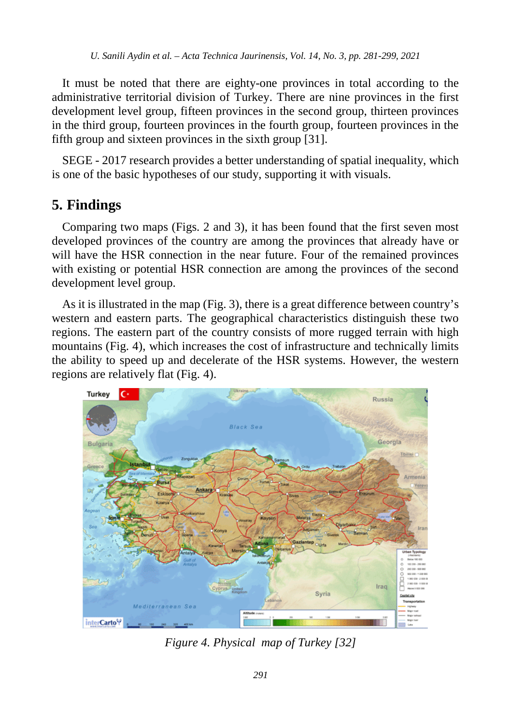It must be noted that there are eighty-one provinces in total according to the administrative territorial division of Turkey. There are nine provinces in the first development level group, fifteen provinces in the second group, thirteen provinces in the third group, fourteen provinces in the fourth group, fourteen provinces in the fifth group and sixteen provinces in the sixth group [31].

SEGE - 2017 research provides a better understanding of spatial inequality, which is one of the basic hypotheses of our study, supporting it with visuals.

## **5. Findings**

Comparing two maps (Figs. 2 and 3), it has been found that the first seven most developed provinces of the country are among the provinces that already have or will have the HSR connection in the near future. Four of the remained provinces with existing or potential HSR connection are among the provinces of the second development level group.

As it is illustrated in the map (Fig. 3), there is a great difference between country's western and eastern parts. The geographical characteristics distinguish these two regions. The eastern part of the country consists of more rugged terrain with high mountains (Fig. 4), which increases the cost of infrastructure and technically limits the ability to speed up and decelerate of the HSR systems. However, the western regions are relatively flat (Fig. 4).



*Figure 4. Physical map of Turkey [32]*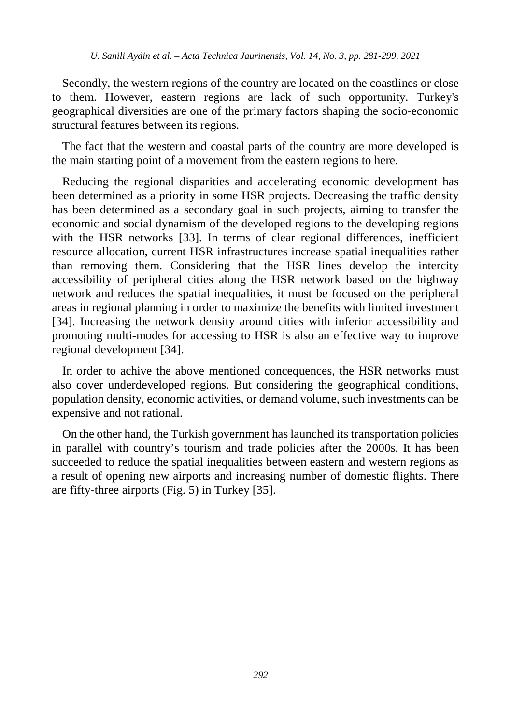Secondly, the western regions of the country are located on the coastlines or close to them. However, eastern regions are lack of such opportunity. Turkey's geographical diversities are one of the primary factors shaping the socio-economic structural features between its regions.

The fact that the western and coastal parts of the country are more developed is the main starting point of a movement from the eastern regions to here.

Reducing the regional disparities and accelerating economic development has been determined as a priority in some HSR projects. Decreasing the traffic density has been determined as a secondary goal in such projects, aiming to transfer the economic and social dynamism of the developed regions to the developing regions with the HSR networks [33]. In terms of clear regional differences, inefficient resource allocation, current HSR infrastructures increase spatial inequalities rather than removing them. Considering that the HSR lines develop the intercity accessibility of peripheral cities along the HSR network based on the highway network and reduces the spatial inequalities, it must be focused on the peripheral areas in regional planning in order to maximize the benefits with limited investment [34]. Increasing the network density around cities with inferior accessibility and promoting multi-modes for accessing to HSR is also an effective way to improve regional development [34].

In order to achive the above mentioned concequences, the HSR networks must also cover underdeveloped regions. But considering the geographical conditions, population density, economic activities, or demand volume, such investments can be expensive and not rational.

On the other hand, the Turkish government has launched its transportation policies in parallel with country's tourism and trade policies after the 2000s. It has been succeeded to reduce the spatial inequalities between eastern and western regions as a result of opening new airports and increasing number of domestic flights. There are fifty-three airports (Fig. 5) in Turkey [35].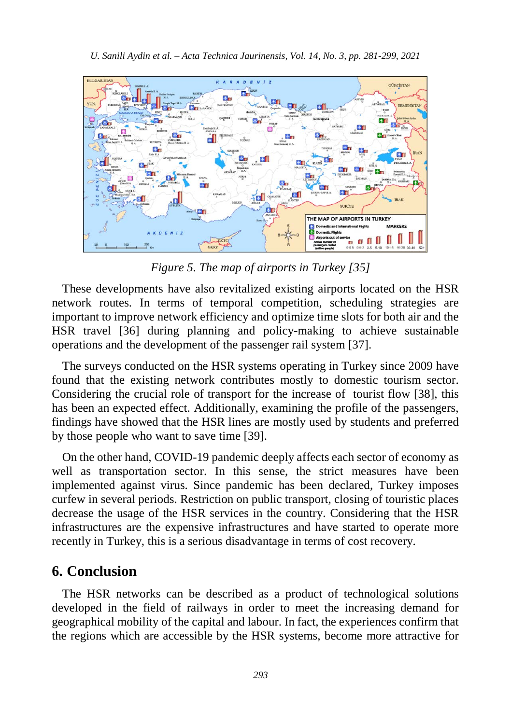

*Figure 5. The map of airports in Turkey [35]*

These developments have also revitalized existing airports located on the HSR network routes. In terms of temporal competition, scheduling strategies are important to improve network efficiency and optimize time slots for both air and the HSR travel [36] during planning and policy-making to achieve sustainable operations and the development of the passenger rail system [37].

The surveys conducted on the HSR systems operating in Turkey since 2009 have found that the existing network contributes mostly to domestic tourism sector. Considering the crucial role of transport for the increase of tourist flow [38], this has been an expected effect. Additionally, examining the profile of the passengers, findings have showed that the HSR lines are mostly used by students and preferred by those people who want to save time [39].

On the other hand, COVID-19 pandemic deeply affects each sector of economy as well as transportation sector. In this sense, the strict measures have been implemented against virus. Since pandemic has been declared, Turkey imposes curfew in several periods. Restriction on public transport, closing of touristic places decrease the usage of the HSR services in the country. Considering that the HSR infrastructures are the expensive infrastructures and have started to operate more recently in Turkey, this is a serious disadvantage in terms of cost recovery.

#### **6. Conclusion**

The HSR networks can be described as a product of technological solutions developed in the field of railways in order to meet the increasing demand for geographical mobility of the capital and labour. In fact, the experiences confirm that the regions which are accessible by the HSR systems, become more attractive for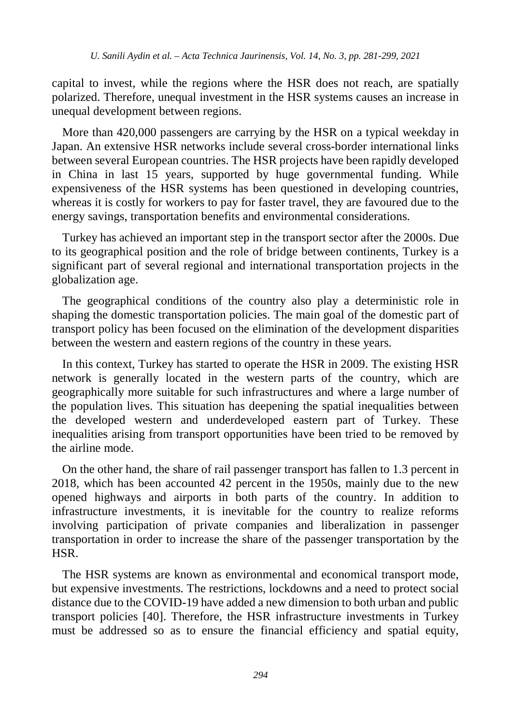capital to invest, while the regions where the HSR does not reach, are spatially polarized. Therefore, unequal investment in the HSR systems causes an increase in unequal development between regions.

More than 420,000 passengers are carrying by the HSR on a typical weekday in Japan. An extensive HSR networks include several cross-border international links between several European countries. The HSR projects have been rapidly developed in China in last 15 years, supported by huge governmental funding. While expensiveness of the HSR systems has been questioned in developing countries, whereas it is costly for workers to pay for faster travel, they are favoured due to the energy savings, transportation benefits and environmental considerations.

Turkey has achieved an important step in the transport sector after the 2000s. Due to its geographical position and the role of bridge between continents, Turkey is a significant part of several regional and international transportation projects in the globalization age.

The geographical conditions of the country also play a deterministic role in shaping the domestic transportation policies. The main goal of the domestic part of transport policy has been focused on the elimination of the development disparities between the western and eastern regions of the country in these years.

In this context, Turkey has started to operate the HSR in 2009. The existing HSR network is generally located in the western parts of the country, which are geographically more suitable for such infrastructures and where a large number of the population lives. This situation has deepening the spatial inequalities between the developed western and underdeveloped eastern part of Turkey. These inequalities arising from transport opportunities have been tried to be removed by the airline mode.

On the other hand, the share of rail passenger transport has fallen to 1.3 percent in 2018, which has been accounted 42 percent in the 1950s, mainly due to the new opened highways and airports in both parts of the country. In addition to infrastructure investments, it is inevitable for the country to realize reforms involving participation of private companies and liberalization in passenger transportation in order to increase the share of the passenger transportation by the HSR.

The HSR systems are known as environmental and economical transport mode, but expensive investments. The restrictions, lockdowns and a need to protect social distance due to the COVID-19 have added a new dimension to both urban and public transport policies [40]. Therefore, the HSR infrastructure investments in Turkey must be addressed so as to ensure the financial efficiency and spatial equity,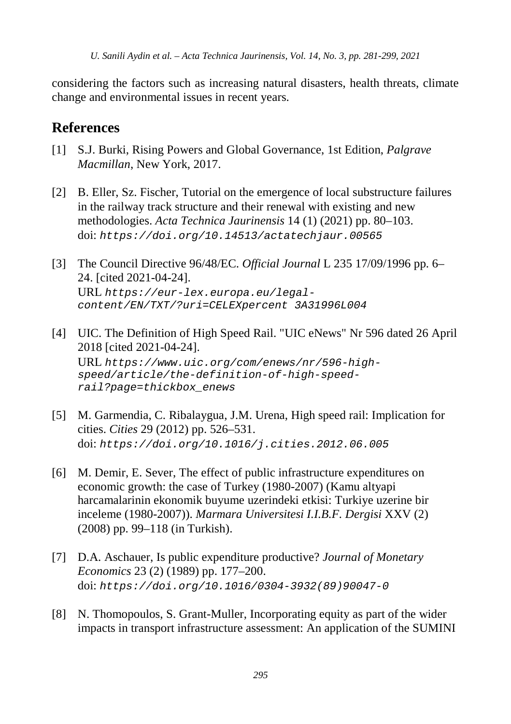considering the factors such as increasing natural disasters, health threats, climate change and environmental issues in recent years.

## **References**

- [1] S.J. Burki, Rising Powers and Global Governance, 1st Edition, *Palgrave Macmillan*, New York, 2017.
- [2] B. Eller, Sz. Fischer, Tutorial on the emergence of local substructure failures in the railway track structure and their renewal with existing and new methodologies. *Acta Technica Jaurinensis* 14 (1) (2021) pp. 80–103. doi: *https://doi.org/10.14513/actatechjaur.00565*
- [3] The Council Directive 96/48/EC. *Official Journal* L 235 17/09/1996 pp. 6– 24. [cited 2021-04-24]. URL *https://eur-lex.europa.eu/legalcontent/EN/TXT/?uri=CELEXpercent 3A31996L004*
- [4] UIC. The Definition of High Speed Rail. "UIC eNews" Nr 596 dated 26 April 2018 [cited 2021-04-24]. URL *https://www.uic.org/com/enews/nr/596-highspeed/article/the-definition-of-high-speedrail?page=thickbox\_enews*
- [5] M. Garmendia, C. Ribalaygua, J.M. Urena, High speed rail: Implication for cities. *Cities* 29 (2012) pp. 526–531. doi: *https://doi.org/10.1016/j.cities.2012.06.005*
- [6] M. Demir, E. Sever, The effect of public infrastructure expenditures on economic growth: the case of Turkey (1980-2007) (Kamu altyapi harcamalarinin ekonomik buyume uzerindeki etkisi: Turkiye uzerine bir inceleme (1980-2007)). *Marmara Universitesi I.I.B.F. Dergisi* XXV (2) (2008) pp. 99–118 (in Turkish).
- [7] D.A. Aschauer, Is public expenditure productive? *Journal of Monetary Economics* 23 (2) (1989) pp. 177–200. doi: *https://doi.org/10.1016/0304-3932(89)90047-0*
- [8] N. Thomopoulos, S. Grant-Muller, Incorporating equity as part of the wider impacts in transport infrastructure assessment: An application of the SUMINI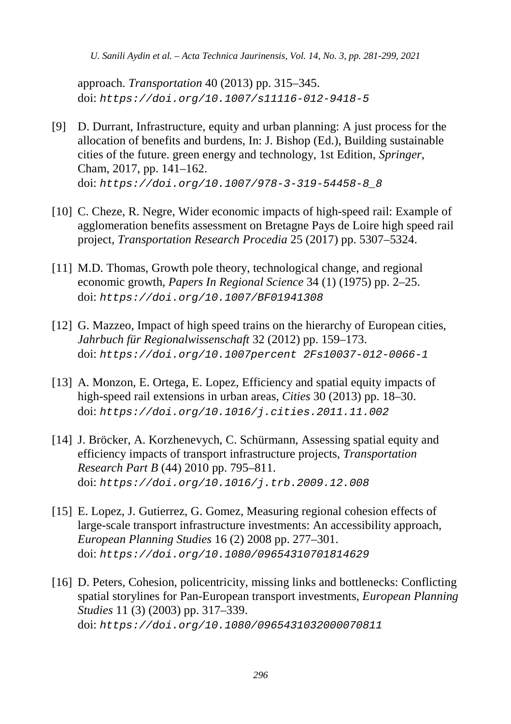approach. *Transportation* 40 (2013) pp. 315–345. doi: *https://doi.org/10.1007/s11116-012-9418-5*

- [9] D. Durrant, Infrastructure, equity and urban planning: A just process for the allocation of benefits and burdens, In: J. Bishop (Ed.), Building sustainable cities of the future. green energy and technology, 1st Edition, *Springer*, Cham, 2017, pp. 141–162. doi: *https://doi.org/10.1007/978-3-319-54458-8\_8*
- [10] C. Cheze, R. Negre, Wider economic impacts of high-speed rail: Example of agglomeration benefits assessment on Bretagne Pays de Loire high speed rail project, *Transportation Research Procedia* 25 (2017) pp. 5307–5324.
- [11] M.D. Thomas, Growth pole theory, technological change, and regional economic growth, *Papers In Regional Science* 34 (1) (1975) pp. 2–25. doi: *https://doi.org/10.1007/BF01941308*
- [12] G. Mazzeo, Impact of high speed trains on the hierarchy of European cities, *Jahrbuch für Regionalwissenschaft* 32 (2012) pp. 159–173. doi: *https://doi.org/10.1007percent 2Fs10037-012-0066-1*
- [13] A. Monzon, E. Ortega, E. Lopez, Efficiency and spatial equity impacts of high-speed rail extensions in urban areas, *Cities* 30 (2013) pp. 18–30. doi: *https://doi.org/10.1016/j.cities.2011.11.002*
- [14] J. Bröcker, A. Korzhenevych, C. Schürmann, Assessing spatial equity and efficiency impacts of transport infrastructure projects, *Transportation Research Part B* (44) 2010 pp. 795–811. doi: *https://doi.org/10.1016/j.trb.2009.12.008*
- [15] E. Lopez, J. Gutierrez, G. Gomez, Measuring regional cohesion effects of large-scale transport infrastructure investments: An accessibility approach, *European Planning Studies* 16 (2) 2008 pp. 277–301. doi: *https://doi.org/10.1080/09654310701814629*
- [16] D. Peters, Cohesion, policentricity, missing links and bottlenecks: Conflicting spatial storylines for Pan-European transport investments, *European Planning Studies* 11 (3) (2003) pp. 317–339. doi: *https://doi.org/10.1080/0965431032000070811*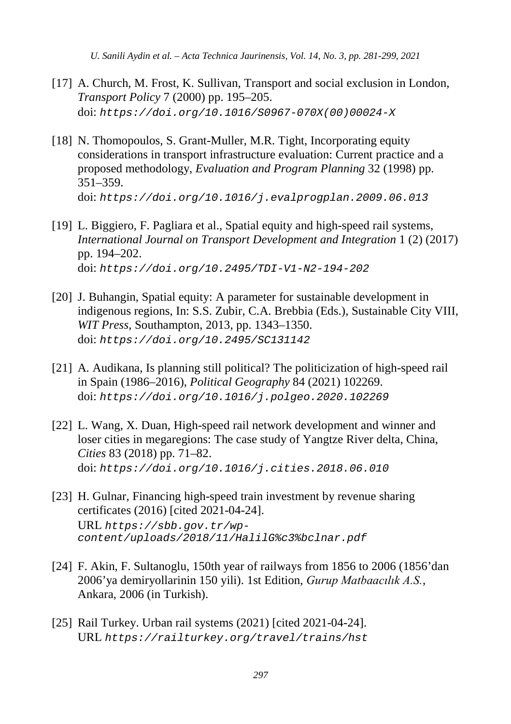- [17] A. Church, M. Frost, K. Sullivan, Transport and social exclusion in London, *Transport Policy* 7 (2000) pp. 195–205. doi: *https://doi.org/10.1016/S0967-070X(00)00024-X*
- [18] N. Thomopoulos, S. Grant-Muller, M.R. Tight, Incorporating equity considerations in transport infrastructure evaluation: Current practice and a proposed methodology, *Evaluation and Program Planning* 32 (1998) pp. 351–359. doi: *https://doi.org/10.1016/j.evalprogplan.2009.06.013*
- [19] L. Biggiero, F. Pagliara et al., Spatial equity and high-speed rail systems, *International Journal on Transport Development and Integration* 1 (2) (2017) pp. 194–202. doi: *https://doi.org/10.2495/TDI-V1-N2-194-202*
- [20] J. Buhangin, Spatial equity: A parameter for sustainable development in indigenous regions, In: S.S. Zubir, C.A. Brebbia (Eds.), Sustainable City VIII, *WIT Press*, Southampton, 2013, pp. 1343–1350. doi: *https://doi.org/10.2495/SC131142*
- [21] A. Audikana, Is planning still political? The politicization of high-speed rail in Spain (1986–2016), *Political Geography* 84 (2021) 102269. doi: *https://doi.org/10.1016/j.polgeo.2020.102269*
- [22] L. Wang, X. Duan, High-speed rail network development and winner and loser cities in megaregions: The case study of Yangtze River delta, China, *Cities* 83 (2018) pp. 71–82. doi: *https://doi.org/10.1016/j.cities.2018.06.010*
- [23] H. Gulnar, Financing high-speed train investment by revenue sharing certificates (2016) [cited 2021-04-24]. URL *https://sbb.gov.tr/wpcontent/uploads/2018/11/HalilG%c3%bclnar.pdf*
- [24] F. Akin, F. Sultanoglu, 150th year of railways from 1856 to 2006 (1856'dan 2006'ya demiryollarinin 150 yili). 1st Edition, *Gurup Matbaacılık A.S.*, Ankara, 2006 (in Turkish).
- [25] Rail Turkey. Urban rail systems (2021) [cited 2021-04-24]. URL *https://railturkey.org/travel/trains/hst*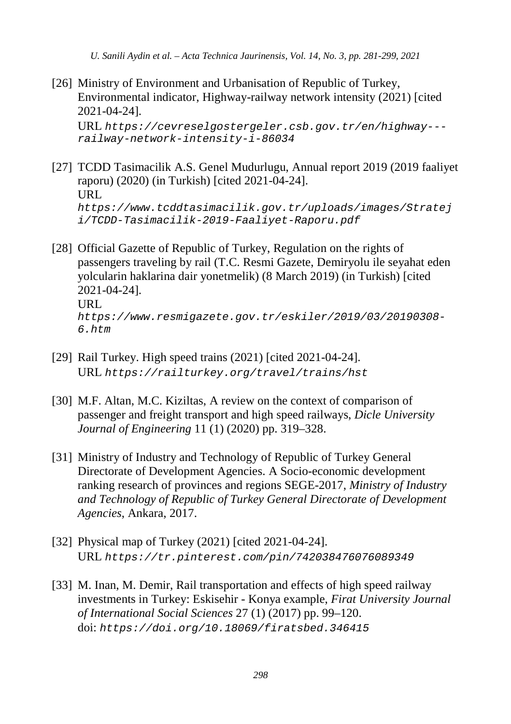[26] Ministry of Environment and Urbanisation of Republic of Turkey, Environmental indicator, Highway-railway network intensity (2021) [cited 2021-04-24].

URL *https://cevreselgostergeler.csb.gov.tr/en/highway-- railway-network-intensity-i-86034*

- [27] TCDD Tasimacilik A.S. Genel Mudurlugu, Annual report 2019 (2019 faaliyet raporu) (2020) (in Turkish) [cited 2021-04-24]. URL *https://www.tcddtasimacilik.gov.tr/uploads/images/Stratej i/TCDD-Tasimacilik-2019-Faaliyet-Raporu.pdf*
- [28] Official Gazette of Republic of Turkey, Regulation on the rights of passengers traveling by rail (T.C. Resmi Gazete, Demiryolu ile seyahat eden yolcularin haklarina dair yonetmelik) (8 March 2019) (in Turkish) [cited 2021-04-24]. URL *https://www.resmigazete.gov.tr/eskiler/2019/03/20190308- 6.htm*
- [29] Rail Turkey. High speed trains (2021) [cited 2021-04-24]. URL *https://railturkey.org/travel/trains/hst*
- [30] M.F. Altan, M.C. Kiziltas, A review on the context of comparison of passenger and freight transport and high speed railways, *Dicle University Journal of Engineering* 11 (1) (2020) pp. 319–328.
- [31] Ministry of Industry and Technology of Republic of Turkey General Directorate of Development Agencies. A Socio-economic development ranking research of provinces and regions SEGE-2017, *Ministry of Industry and Technology of Republic of Turkey General Directorate of Development Agencies*, Ankara, 2017.
- [32] Physical map of Turkey (2021) [cited 2021-04-24]. URL *https://tr.pinterest.com/pin/742038476076089349*
- [33] M. Inan, M. Demir, Rail transportation and effects of high speed railway investments in Turkey: Eskisehir - Konya example, *Firat University Journal of International Social Sciences* 27 (1) (2017) pp. 99–120. doi: *https://doi.org/10.18069/firatsbed.346415*